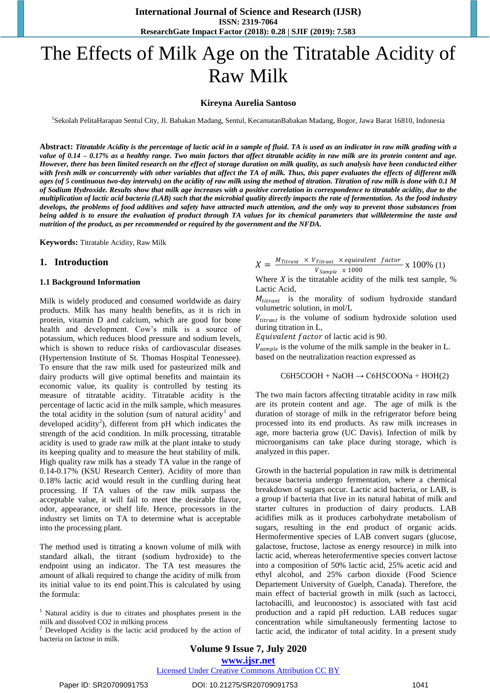# The Effects of Milk Age on the Titratable Acidity of Raw Milk

#### **Kireyna Aurelia Santoso**

<sup>1</sup>Sekolah PelitaHarapan Sentul City, Jl. Babakan Madang, Sentul, KecamatanBabakan Madang, Bogor, Jawa Barat 16810, Indonesia

**Abstract:** *Titratable Acidity is the percentage of lactic acid in a sample of fluid. TA is used as an indicator in raw milk grading with a value of 0.14 – 0.17% as a healthy range. Two main factors that affect titratable acidity in raw milk are its protein content and age. However, there has been limited research on the effect of storage duration on milk quality, as such analysis have been conducted either with fresh milk or concurrently with other variables that affect the TA of milk. Thus, this paper evaluates the effects of different milk ages (of 5 continuous two-day intervals) on the acidity of raw milk using the method of titration. Titration of raw milk is done with 0.1 M of Sodium Hydroxide. Results show that milk age increases with a positive correlation in correspondence to titratable acidity, due to the multiplication of lactic acid bacteria (LAB) such that the microbial quality directly impacts the rate of fermentation. As the food industry develops, the problems of food additives and safety have attracted much attention, and the only way to prevent those substances from being added is to ensure the evaluation of product through TA values for its chemical parameters that willdetermine the taste and nutrition of the product, as per recommended or required by the government and the NFDA.* 

**Keywords:** Titratable Acidity, Raw Milk

#### **1. Introduction**

#### **1.1 Background Information**

Milk is widely produced and consumed worldwide as dairy products. Milk has many health benefits, as it is rich in protein, vitamin D and calcium, which are good for bone health and development. Cow's milk is a source of potassium, which reduces blood pressure and sodium levels, which is shown to reduce risks of cardiovascular diseases (Hypertension Institute of St. Thomas Hospital Tennessee). To ensure that the raw milk used for pasteurized milk and dairy products will give optimal benefits and maintain its economic value, its quality is controlled by testing its measure of titratable acidity. Titratable acidity is the percentage of lactic acid in the milk sample, which measures the total acidity in the solution (sum of natural acidity<sup>1</sup> and developed acidity<sup>2</sup>), different from pH which indicates the strength of the acid condition. In milk processing, titratable acidity is used to grade raw milk at the plant intake to study its keeping quality and to measure the heat stability of milk. High quality raw milk has a steady TA value in the range of 0.14-0.17% (KSU Research Center). Acidity of more than 0.18% lactic acid would result in the curdling during heat processing. If TA values of the raw milk surpass the acceptable value, it will fail to meet the desirable flavor, odor, appearance, or shelf life. Hence, processors in the industry set limits on TA to determine what is acceptable into the processing plant.

The method used is titrating a known volume of milk with standard alkali, the titrant (sodium hydroxide) to the endpoint using an indicator. The TA test measures the amount of alkali required to change the acidity of milk from its initial value to its end point.This is calculated by using the formula:

 $1$  Natural acidity is due to citrates and phosphates present in the milk and dissolved CO2 in milking process

<sup>2</sup> Developed Acidity is the lactic acid produced by the action of bacteria on lactose in milk.

$$
X = \frac{M_{Titrant} \times V_{Titrant} \times equivalent \ factor}{V_{Sample} \times 1000} \times 100\%
$$
 (1)

Where  $X$  is the titratable acidity of the milk test sample,  $%$ Lactic Acid,

 $M_{titrant}$  is the morality of sodium hydroxide standard volumetric solution, in mol/L

 $V_{titrant}$  is the volume of sodium hydroxide solution used during titration in L,

Equivalent factor of lactic acid is 90.

 $V_{sample}$  is the volume of the milk sample in the beaker in L. based on the neutralization reaction expressed as

$$
C6H5COOH + NaOH \rightarrow C6H5COONa + HOH(2)
$$

The two main factors affecting titratable acidity in raw milk are its protein content and age. The age of milk is the duration of storage of milk in the refrigerator before being processed into its end products. As raw milk increases in age, more bacteria grow (UC Davis). Infection of milk by microorganisms can take place during storage, which is analyzed in this paper.

Growth in the bacterial population in raw milk is detrimental because bacteria undergo fermentation, where a chemical breakdown of sugars occur. Lactic acid bacteria, or LAB, is a group if bacteria that live in its natural habitat of milk and starter cultures in production of dairy products. LAB acidifies milk as it produces carbohydrate metabolism of sugars, resulting in the end product of organic acids. Hermofermentive species of LAB convert sugars (glucose, galactose, fructose, lactose as energy resource) in milk into lactic acid, whereas heterofermentive species convert lactose into a composition of 50% lactic acid, 25% acetic acid and ethyl alcohol, and 25% carbon dioxide (Food Science Departement University of Guelph, Canada). Therefore, the main effect of bacterial growth in milk (such as lactocci, lactobacilli, and leuconostoc) is associated with fast acid production and a rapid pH reduction. LAB reduces sugar concentration while simultaneously fermenting lactose to lactic acid, the indicator of total acidity. In a present study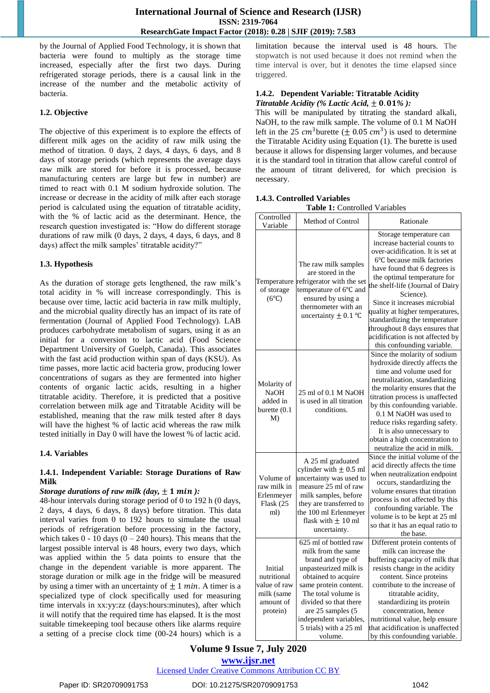by the Journal of Applied Food Technology, it is shown that bacteria were found to multiply as the storage time increased, especially after the first two days. During refrigerated storage periods, there is a causal link in the increase of the number and the metabolic activity of bacteria.

# **1.2. Objective**

The objective of this experiment is to explore the effects of different milk ages on the acidity of raw milk using the method of titration. 0 days, 2 days, 4 days, 6 days, and 8 days of storage periods (which represents the average days raw milk are stored for before it is processed, because manufacturing centers are large but few in number) are timed to react with 0.1 M sodium hydroxide solution. The increase or decrease in the acidity of milk after each storage period is calculated using the equation of titratable acidity, with the % of lactic acid as the determinant. Hence, the research question investigated is: "How do different storage durations of raw milk (0 days, 2 days, 4 days, 6 days, and 8 days) affect the milk samples' titratable acidity?"

## **1.3. Hypothesis**

As the duration of storage gets lengthened, the raw milk's total acidity in % will increase correspondingly. This is because over time, lactic acid bacteria in raw milk multiply, and the microbial quality directly has an impact of its rate of fermentation (Journal of Applied Food Technology). LAB produces carbohydrate metabolism of sugars, using it as an initial for a conversion to lactic acid (Food Science Department University of Guelph, Canada). This associates with the fast acid production within span of days (KSU). As time passes, more lactic acid bacteria grow, producing lower concentrations of sugars as they are fermented into higher contents of organic lactic acids, resulting in a higher titratable acidity. Therefore, it is predicted that a positive correlation between milk age and Titratable Acidity will be established, meaning that the raw milk tested after 8 days will have the highest % of lactic acid whereas the raw milk tested initially in Day 0 will have the lowest % of lactic acid.

#### **1.4. Variables**

## **1.4.1. Independent Variable: Storage Durations of Raw Milk**

#### *Storage durations of raw milk (day,*  $\pm$  *1 min):*

48-hour intervals during storage period of 0 to 192 h (0 days, 2 days, 4 days, 6 days, 8 days) before titration. This data interval varies from 0 to 192 hours to simulate the usual periods of refrigeration before processing in the factory, which takes  $0 - 10$  days  $(0 - 240$  hours). This means that the largest possible interval is 48 hours, every two days, which was applied within the 5 data points to ensure that the change in the dependent variable is more apparent. The storage duration or milk age in the fridge will be measured by using a timer with an uncertainty of  $\pm 1$  min. A timer is a specialized type of clock specifically used for measuring time intervals in xx:yy:zz (days:hours:minutes), after which it will notify that the required time has elapsed. It is the most suitable timekeeping tool because others like alarms require a setting of a precise clock time (00-24 hours) which is a limitation because the interval used is 48 hours. The stopwatch is not used because it does not remind when the time interval is over, but it denotes the time elapsed since triggered.

#### **1.4.2. Dependent Variable: Titratable Acidity** *Titratable Acidity (% Lactic Acid,*  $\pm$  0.01%):

This will be manipulated by titrating the standard alkali, NaOH, to the raw milk sample. The volume of 0.1 M NaOH left in the 25  $cm^3$ burette ( $\pm$  0.05  $cm^3$ ) is used to determine the Titratable Acidity using Equation (1). The burette is used because it allows for dispensing larger volumes, and because it is the standard tool in titration that allow careful control of the amount of titrant delivered, for which precision is necessary.

## **1.4.3. Controlled Variables**

| <b>Table 1:</b> Controlled Variables |  |
|--------------------------------------|--|
|                                      |  |

| Controlled<br>Variable                                                        | Method of Control                                                                                                                                                                                                                                                             | Rationale                                                                                                                                                                                                                                                                                                                                                                                                                                         |
|-------------------------------------------------------------------------------|-------------------------------------------------------------------------------------------------------------------------------------------------------------------------------------------------------------------------------------------------------------------------------|---------------------------------------------------------------------------------------------------------------------------------------------------------------------------------------------------------------------------------------------------------------------------------------------------------------------------------------------------------------------------------------------------------------------------------------------------|
| Temperature<br>of storage<br>$(6^{\circ}C)$                                   | The raw milk samples<br>are stored in the<br>refrigerator with the set<br>temperature of 6°C and<br>ensured by using a<br>thermometer with an<br>uncertainty $\pm$ 0.1 °C                                                                                                     | Storage temperature can<br>increase bacterial counts to<br>over-acidification. It is set at<br>6°C because milk factories<br>have found that 6 degrees is<br>the optimal temperature for<br>the shelf-life (Journal of Dairy<br>Science).<br>Since it increases microbial<br>quality at higher temperatures,<br>standardizing the temperature<br>throughout 8 days ensures that<br>acidification is not affected by<br>this confounding variable. |
| Molarity of<br><b>NaOH</b><br>added in<br>burette (0.1<br>M)                  | 25 ml of 0.1 M NaOH<br>is used in all titration<br>conditions.                                                                                                                                                                                                                | Since the molarity of sodium<br>hydroxide directly affects the<br>time and volume used for<br>neutralization, standardizing<br>the molarity ensures that the<br>titration process is unaffected<br>by this confounding variable.<br>0.1 M NaOH was used to<br>reduce risks regarding safety.<br>It is also unnecessary to<br>obtain a high concentration to<br>neutralize the acid in milk.                                                       |
| Volume of<br>raw milk in<br>Erlenmeyer<br>Flask (25<br>ml)                    | A 25 ml graduated<br>cylinder with $\pm$ 0.5 ml<br>uncertainty was used to<br>measure 25 ml of raw<br>milk samples, before<br>they are transferred to<br>the 100 ml Erlenmeyer<br>flask with $\pm$ 10 ml<br>uncertainty.                                                      | Since the initial volume of the<br>acid directly affects the time<br>when neutralization endpoint<br>occurs, standardizing the<br>volume ensures that titration<br>process is not affected by this<br>confounding variable. The<br>volume is to be kept at 25 ml<br>so that it has an equal ratio to<br>the base.                                                                                                                                 |
| Initial<br>nutritional<br>value of raw<br>milk (same<br>amount of<br>protein) | 625 ml of bottled raw<br>milk from the same<br>brand and type of<br>unpasteurized milk is<br>obtained to acquire<br>same protein content.<br>The total volume is<br>divided so that there<br>are 25 samples (5<br>independent variables,<br>5 trials) with a 25 ml<br>volume. | Different protein contents of<br>milk can increase the<br>buffering capacity of milk that<br>resists change in the acidity<br>content. Since proteins<br>contribute to the increase of<br>titratable acidity,<br>standardizing its protein<br>concentration, hence<br>nutritional value, help ensure<br>that acidification is unaffected<br>by this confounding variable.                                                                         |

# **Volume 9 Issue 7, July 2020 www.ijsr.net**

Licensed Under Creative Commons Attribution CC BY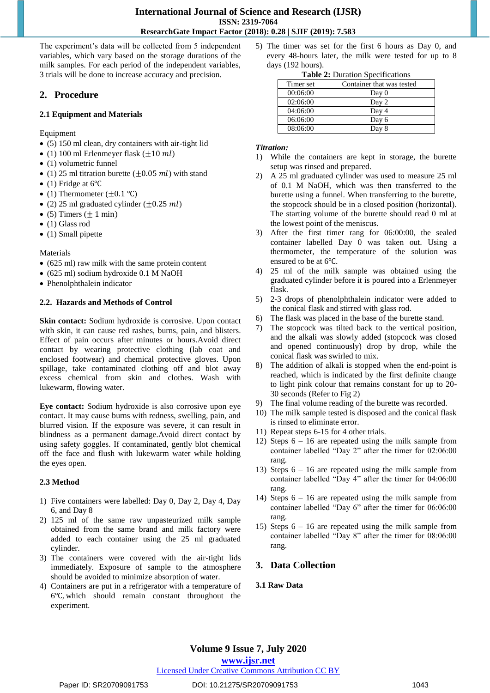The experiment's data will be collected from 5 independent variables, which vary based on the storage durations of the milk samples. For each period of the independent variables, 3 trials will be done to increase accuracy and precision.

# **2. Procedure**

# **2.1 Equipment and Materials**

Equipment

- (5) 150 ml clean, dry containers with air-tight lid
- (1) 100 ml Erlenmeyer flask  $(\pm 10 \text{ ml})$
- (1) volumetric funnel
- (1) 25 ml titration burette ( $\pm$ 0.05 *ml*) with stand
- $\bullet$  (1) Fridge at 6°C
- (1) Thermometer  $(\pm 0.1 \degree C)$
- (2) 25 ml graduated cylinder  $(\pm 0.25 \, ml)$
- $\bullet$  (5) Timers ( $\pm 1$  min)
- (1) Glass rod
- $\bullet$  (1) Small pipette

Materials

- (625 ml) raw milk with the same protein content
- (625 ml) sodium hydroxide 0.1 M NaOH
- Phenolphthalein indicator

# **2.2. Hazards and Methods of Control**

**Skin contact:** Sodium hydroxide is corrosive. Upon contact with skin, it can cause red rashes, burns, pain, and blisters. Effect of pain occurs after minutes or hours.Avoid direct contact by wearing protective clothing (lab coat and enclosed footwear) and chemical protective gloves. Upon spillage, take contaminated clothing off and blot away excess chemical from skin and clothes. Wash with lukewarm, flowing water.

**Eye contact:** Sodium hydroxide is also corrosive upon eye contact. It may cause burns with redness, swelling, pain, and blurred vision. If the exposure was severe, it can result in blindness as a permanent damage.Avoid direct contact by using safety goggles. If contaminated, gently blot chemical off the face and flush with lukewarm water while holding the eyes open.

# **2.3 Method**

- 1) Five containers were labelled: Day 0, Day 2, Day 4, Day 6, and Day 8
- 2) 125 ml of the same raw unpasteurized milk sample obtained from the same brand and milk factory were added to each container using the 25 ml graduated cylinder.
- 3) The containers were covered with the air-tight lids immediately. Exposure of sample to the atmosphere should be avoided to minimize absorption of water.
- 4) Containers are put in a refrigerator with a temperature of 6℃, which should remain constant throughout the experiment.

5) The timer was set for the first 6 hours as Day 0, and every 48-hours later, the milk were tested for up to 8 days (192 hours).

|  |  | <b>Table 2:</b> Duration Specifications |  |
|--|--|-----------------------------------------|--|
|  |  |                                         |  |

| $\frac{1}{2}$ and $\frac{1}{2}$ is the control product of $\frac{1}{2}$ |                           |  |  |  |  |  |  |  |
|-------------------------------------------------------------------------|---------------------------|--|--|--|--|--|--|--|
| Timer set                                                               | Container that was tested |  |  |  |  |  |  |  |
| 00:06:00                                                                | Day 0                     |  |  |  |  |  |  |  |
| 02:06:00                                                                | Day 2                     |  |  |  |  |  |  |  |
| 04:06:00                                                                | Day 4                     |  |  |  |  |  |  |  |
| 06:06:00                                                                | Day 6                     |  |  |  |  |  |  |  |
| 08:06:00                                                                | Day 8                     |  |  |  |  |  |  |  |

## *Titration:*

- 1) While the containers are kept in storage, the burette setup was rinsed and prepared.
- 2) A 25 ml graduated cylinder was used to measure 25 ml of 0.1 M NaOH, which was then transferred to the burette using a funnel. When transferring to the burette, the stopcock should be in a closed position (horizontal). The starting volume of the burette should read 0 ml at the lowest point of the meniscus.
- 3) After the first timer rang for 06:00:00, the sealed container labelled Day 0 was taken out. Using a thermometer, the temperature of the solution was ensured to be at 6℃.
- 4) 25 ml of the milk sample was obtained using the graduated cylinder before it is poured into a Erlenmeyer flask.
- 5) 2-3 drops of phenolphthalein indicator were added to the conical flask and stirred with glass rod.
- 6) The flask was placed in the base of the burette stand.
- 7) The stopcock was tilted back to the vertical position, and the alkali was slowly added (stopcock was closed and opened continuously) drop by drop, while the conical flask was swirled to mix.
- 8) The addition of alkali is stopped when the end-point is reached, which is indicated by the first definite change to light pink colour that remains constant for up to 20- 30 seconds (Refer to Fig 2)
- 9) The final volume reading of the burette was recorded.
- 10) The milk sample tested is disposed and the conical flask is rinsed to eliminate error.
- 11) Repeat steps 6-15 for 4 other trials.
- 12) Steps 6 16 are repeated using the milk sample from container labelled "Day 2" after the timer for 02:06:00 rang.
- 13) Steps 6 16 are repeated using the milk sample from container labelled "Day 4" after the timer for 04:06:00 rang.
- 14) Steps 6 16 are repeated using the milk sample from container labelled "Day 6" after the timer for 06:06:00 rang.
- 15) Steps 6 16 are repeated using the milk sample from container labelled "Day 8" after the timer for 08:06:00 rang.

# **3. Data Collection**

# **3.1 Raw Data**

# **Volume 9 Issue 7, July 2020 www.ijsr.net**

# Licensed Under Creative Commons Attribution CC BY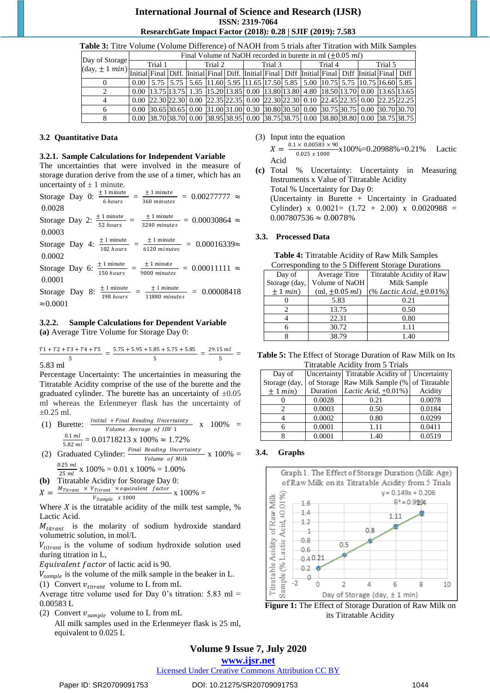| <b>THUIC</b> of the Volume (Volume Directive) of twitch from 9 than and Thianon with initial bampies                                                                                                                                                                                                                                                                                                                                                                                                                                                  |         |                                                             |         |  |         |  |         |  |         |  |  |  |                                                                                                                                                                                      |  |                                                                                                                                                                                                                                                                                                                    |
|-------------------------------------------------------------------------------------------------------------------------------------------------------------------------------------------------------------------------------------------------------------------------------------------------------------------------------------------------------------------------------------------------------------------------------------------------------------------------------------------------------------------------------------------------------|---------|-------------------------------------------------------------|---------|--|---------|--|---------|--|---------|--|--|--|--------------------------------------------------------------------------------------------------------------------------------------------------------------------------------------|--|--------------------------------------------------------------------------------------------------------------------------------------------------------------------------------------------------------------------------------------------------------------------------------------------------------------------|
|                                                                                                                                                                                                                                                                                                                                                                                                                                                                                                                                                       |         | Final Volume of NaOH recorded in burette in ml $(+0.05$ ml) |         |  |         |  |         |  |         |  |  |  |                                                                                                                                                                                      |  |                                                                                                                                                                                                                                                                                                                    |
| Day of Storage                                                                                                                                                                                                                                                                                                                                                                                                                                                                                                                                        | Trial 1 |                                                             | Trial 2 |  | Trial 3 |  | Trial 4 |  | Trial 5 |  |  |  |                                                                                                                                                                                      |  |                                                                                                                                                                                                                                                                                                                    |
| $\left \frac{(\text{day}, \pm 1 \text{ min})}{(\text{Initial} \text{Final} \text{Dirf.} \text{Initial} \text{Final} \text{Dirf.} \text{Initial} \text{Final} \text{Dirf.} \text{Initial} \text{Final} \text{Dirf.} \text{Initial} \text{Final} \text{Dirf.} \text{Initial} \text{Final} \text{Dirf.} \text{Initial} \text{Final} \text{Dirf.} \text{Initial} \text{Final} \text{Dirf.} \text{Initial} \text{Final} \text{Dirf.} \text{Initial} \text{Final} \text{Dirf.} \text{Initial} \text{Final} \text{Dirf.} \text{Initial} \text{Final} \text{$ |         |                                                             |         |  |         |  |         |  |         |  |  |  |                                                                                                                                                                                      |  |                                                                                                                                                                                                                                                                                                                    |
|                                                                                                                                                                                                                                                                                                                                                                                                                                                                                                                                                       |         |                                                             |         |  |         |  |         |  |         |  |  |  | $\vert 0.00 \vert$ 5.75 $\vert 5.75 \vert$ 5.65 $\vert 11.60 \vert$ 5.95 $\vert 11.65 \vert 17.50 \vert$ 5.85 $\vert 5.00 \vert 10.75 \vert 5.75 \vert 10.75 \vert 16.60 \vert 5.85$ |  |                                                                                                                                                                                                                                                                                                                    |
|                                                                                                                                                                                                                                                                                                                                                                                                                                                                                                                                                       |         |                                                             |         |  |         |  |         |  |         |  |  |  | $(0.00 \mid 13.75 \mid 13.75 \mid 1.35 \mid 15.20 \mid 13.85 \mid 0.00 \mid 13.80 \mid 13.80 \mid 4.80 \mid 18.50 \mid 13.70 \mid 0.00 \mid 13.65 \mid 13.65)$                       |  |                                                                                                                                                                                                                                                                                                                    |
|                                                                                                                                                                                                                                                                                                                                                                                                                                                                                                                                                       |         |                                                             |         |  |         |  |         |  |         |  |  |  | 0.00 22.30 22.30 0.00 22.35 22.35 0.00 22.30 22.30 0.10 22.45 22.35 0.00 22.25 22.25                                                                                                 |  |                                                                                                                                                                                                                                                                                                                    |
|                                                                                                                                                                                                                                                                                                                                                                                                                                                                                                                                                       |         |                                                             |         |  |         |  |         |  |         |  |  |  |                                                                                                                                                                                      |  | $\mid 0.00 \mid 30.65 \mid 30.65 \mid 0.00 \mid 31.00 \mid 31.00 \mid 0.30 \mid 30.80 \mid 30.50 \mid 0.00 \mid 30.75 \mid 30.75 \mid 0.00 \mid 30.70 \mid 30.70 \mid 30.70 \mid 30.75 \mid 30.65 \mid 30.65 \mid 30.65 \mid 30.66 \mid 30.67 \mid 30.67 \mid 30.67 \mid 30.67 \mid 30.67 \mid 30.67 \mid 30.67 \$ |
|                                                                                                                                                                                                                                                                                                                                                                                                                                                                                                                                                       |         |                                                             |         |  |         |  |         |  |         |  |  |  |                                                                                                                                                                                      |  | $\vert$ 0.00 $\vert$ 38.70 $\vert$ 38.70 $\vert$ 0.00 $\vert$ 38.95 $\vert$ 38.95 $\vert$ 0.00 $\vert$ 38.75 $\vert$ 38.75 $\vert$ 0.00 $\vert$ 38.76 $\vert$ 38.75 $\vert$ 38.75 $\vert$ 38.75 $\vert$                                                                                                            |

# **Table 3:** Titre Volume (Volume Difference) of NAOH from 5 trials after Titration with Milk Samples

#### **3.2 Quantitative Data**

#### **3.2.1. Sample Calculations for Independent Variable**

The uncertainties that were involved in the measure of storage duration derive from the use of a timer, which has an uncertainty of  $\pm$  1 minute.  $+ 1$  minute  $+1$  minute

| Storage Day 0:   |  | $\pm$ 1 minute<br>6 hours | $\perp$ 1 minute<br>360 minutes | $= 0.00277777 \approx$   |  |
|------------------|--|---------------------------|---------------------------------|--------------------------|--|
| 0.0028           |  |                           |                                 |                          |  |
| Storage Day 2:   |  | $\pm 1$ minute            | $± 1$ minute                    | $= 0.00030864 \approx$   |  |
| 0.0003           |  | 52 hours                  | 3240 minutes                    |                          |  |
| Storage Day 4:   |  | $\pm$ 1 minute            | $± 1$ minute                    | $= 0.00016339$ $\approx$ |  |
| 0.0002           |  | 102 hours                 | 6120 minutes                    |                          |  |
| Storage Day 6:   |  | $± 1$ minute              | $\pm$ 1 minute                  | $= 0.00011111 \approx$   |  |
| 0.0001           |  | 150 hours                 | 9000 minutes                    |                          |  |
| Storage Day 8:   |  | $± 1$ minute              | $± 1$ minute                    | $= 0.00008418$           |  |
| $\approx 0.0001$ |  | 198 hours                 | 11880 minutes                   |                          |  |
|                  |  |                           |                                 |                          |  |

# **3.2.2. Sample Calculations for Dependent Variable**

**(a)** Average Titre Volume for Storage Day 0:

$$
\frac{T1+T2+T3+T4+T5}{5} = \frac{5.75+5.95+5.85+5.75+5.85}{5} = \frac{29.15 \text{ ml}}{5} =
$$

5.83 ml

Percentage Uncertainty: The uncertainties in measuring the Titratable Acidity comprise of the use of the burette and the graduated cylinder. The burette has an uncertainty of  $\pm 0.05$ ml whereas the Erlenmeyer flask has the uncertainty of  $\pm 0.25$  ml.

- (1) Burette:  $\frac{Initial + Final\ Reading\ Uncertainty}{}$ Volume Average of IDV 1  $x \quad 100\% =$  $0.1$   $ml$  $= 0.01718213 \times 100\% \approx 1.72\%$
- 5.82 ml SOC FIGURE IN 1996 111256<br>
(2) Graduated Cylinder:  $\frac{Final\ Reading\ Uncountity}{V_1}$  x 100% = Volume of Milk 0.25
	- $\frac{2.25 \text{ mi}}{25 \text{ ml}}$  x 100% = 0.01 x 100% = 1.00%
- **(b)** Titratable Acidity for Storage Day 0:  $X = \frac{M_{Titrant} \times V_{Titrant} \times equivalent \ factor}{W} \times 100\% =$

 $V_{Sample}$  x 1000 Where  $X$  is the titratable acidity of the milk test sample, % Lactic Acid.

 $M_{titrant}$  is the molarity of sodium hydroxide standard volumetric solution, in mol/L

 $V_{titrant}$  is the volume of sodium hydroxide solution used during titration in L,

Equivalent factor of lactic acid is 90.

 $V_{sample}$  is the volume of the milk sample in the beaker in L.

(1) Convert  $v_{\text{titrant}}$  volume to L from mL

Average titre volume used for Day 0's titration:  $5.83$  ml = 0.00583 L

(2) Convert  $v_{sample}$  volume to L from mL

All milk samples used in the Erlenmeyer flask is 25 ml, equivalent to 0.025 L

- (3) Input into the equation  $X = \frac{0.1 \times 0.00583 \times 90}{0.025 \times 1000} \times 100\% = 0.20988\% = 0.21\%$  Lactic  $0.025 \times 1000$ Acid
- **(c)** Total % Uncertainty: Uncertainty in Measuring Instruments x Value of Titratable Acidity Total % Uncertainty for Day 0: (Uncertainty in Burette + Uncertainty in Graduated Cylinder) x  $0.0021 = (1.72 + 2.00)$  x  $0.0020988$  =  $0.007807536 \approx 0.0078\%$

## **3.3. Processed Data**

**Table 4:** Titratable Acidity of Raw Milk Samples Corresponding to the 5 Different Storage Durations

| Day of        | Average Titre       | Titratable Acidity of Raw       |  |  |  |  |  |  |
|---------------|---------------------|---------------------------------|--|--|--|--|--|--|
| Storage (day, | Volume of NaOH      | Milk Sample                     |  |  |  |  |  |  |
| $\pm 1$ min)  | (ml, $\pm 0.05$ ml) | $($ % Lactic Acid, $\pm$ 0.01%) |  |  |  |  |  |  |
|               | 5.83                | 0.21                            |  |  |  |  |  |  |
|               | 13.75               | 0.50                            |  |  |  |  |  |  |
|               | 22.31               | 0.80                            |  |  |  |  |  |  |
|               | 30.72               | 1.11                            |  |  |  |  |  |  |
|               | 38.79               | 1.40                            |  |  |  |  |  |  |

**Table 5:** The Effect of Storage Duration of Raw Milk on Its Titratable Acidity from 5 Trials

| Day of        |          | Uncertainty Titratable Acidity of   Uncertainty |         |  |  |  |  |  |  |
|---------------|----------|-------------------------------------------------|---------|--|--|--|--|--|--|
| Storage (day, |          | of Storage Raw Milk Sample (% of Titratable     |         |  |  |  |  |  |  |
| $\pm 1$ min)  | Duration | Lactic Acid, $\pm 0.01\%$ )                     | Acidity |  |  |  |  |  |  |
|               | 0.0028   | 0.21                                            | 0.0078  |  |  |  |  |  |  |
|               | 0.0003   | 0.50                                            | 0.0184  |  |  |  |  |  |  |
|               | 0.0002   | 0.80                                            | 0.0299  |  |  |  |  |  |  |
|               | 0.0001   | 1.11                                            | 0.0411  |  |  |  |  |  |  |
|               | 0.0001   | 1.40                                            | 0.0519  |  |  |  |  |  |  |

#### **3.4. Graphs**





# **Volume 9 Issue 7, July 2020**

**www.ijsr.net**

# Licensed Under Creative Commons Attribution CC BY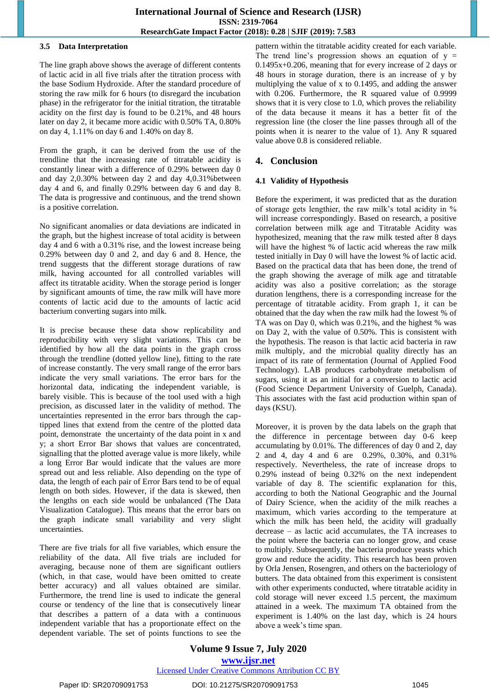#### **3.5 Data Interpretation**

The line graph above shows the average of different contents of lactic acid in all five trials after the titration process with the base Sodium Hydroxide. After the standard procedure of storing the raw milk for 6 hours (to disregard the incubation phase) in the refrigerator for the initial titration, the titratable acidity on the first day is found to be 0.21%, and 48 hours later on day 2, it became more acidic with 0.50% TA, 0.80% on day 4, 1.11% on day 6 and 1.40% on day 8.

From the graph, it can be derived from the use of the trendline that the increasing rate of titratable acidity is constantly linear with a difference of 0.29% between day 0 and day 2,0.30% between day 2 and day 4,0.31%between day 4 and 6, and finally 0.29% between day 6 and day 8. The data is progressive and continuous, and the trend shown is a positive correlation.

No significant anomalies or data deviations are indicated in the graph, but the highest increase of total acidity is between day 4 and 6 with a 0.31% rise, and the lowest increase being 0.29% between day 0 and 2, and day 6 and 8. Hence, the trend suggests that the different storage durations of raw milk, having accounted for all controlled variables will affect its titratable acidity. When the storage period is longer by significant amounts of time, the raw milk will have more contents of lactic acid due to the amounts of lactic acid bacterium converting sugars into milk.

It is precise because these data show replicability and reproducibility with very slight variations. This can be identified by how all the data points in the graph cross through the trendline (dotted yellow line), fitting to the rate of increase constantly. The very small range of the error bars indicate the very small variations. The error bars for the horizontal data, indicating the independent variable, is barely visible. This is because of the tool used with a high precision, as discussed later in the validity of method. The uncertainties represented in the error bars through the captipped lines that extend from the centre of the plotted data point, demonstrate the uncertainty of the data point in x and y; a short Error Bar shows that values are concentrated, signalling that the plotted average value is more likely, while a long Error Bar would indicate that the values are more spread out and less reliable. Also depending on the type of data, the length of each pair of Error Bars tend to be of equal length on both sides. However, if the data is skewed, then the lengths on each side would be unbalanced (The Data Visualization Catalogue). This means that the error bars on the graph indicate small variability and very slight uncertainties.

There are five trials for all five variables, which ensure the reliability of the data. All five trials are included for averaging, because none of them are significant outliers (which, in that case, would have been omitted to create better accuracy) and all values obtained are similar. Furthermore, the trend line is used to indicate the general course or tendency of the line that is consecutively linear that describes a pattern of a data with a continuous independent variable that has a proportionate effect on the dependent variable. The set of points functions to see the pattern within the titratable acidity created for each variable. The trend line's progression shows an equation of  $y =$ 0.1495x+0.206, meaning that for every increase of 2 days or 48 hours in storage duration, there is an increase of y by multiplying the value of x to 0.1495, and adding the answer with 0.206. Furthermore, the R squared value of 0.9999 shows that it is very close to 1.0, which proves the reliability of the data because it means it has a better fit of the regression line (the closer the line passes through all of the points when it is nearer to the value of 1). Any R squared value above 0.8 is considered reliable.

# **4. Conclusion**

# **4.1 Validity of Hypothesis**

Before the experiment, it was predicted that as the duration of storage gets lengthier, the raw milk's total acidity in % will increase correspondingly. Based on research, a positive correlation between milk age and Titratable Acidity was hypothesized, meaning that the raw milk tested after 8 days will have the highest % of lactic acid whereas the raw milk tested initially in Day 0 will have the lowest % of lactic acid. Based on the practical data that has been done, the trend of the graph showing the average of milk age and titratable acidity was also a positive correlation; as the storage duration lengthens, there is a corresponding increase for the percentage of titratable acidity. From graph 1, it can be obtained that the day when the raw milk had the lowest % of TA was on Day 0, which was 0.21%, and the highest % was on Day 2, with the value of 0.50%. This is consistent with the hypothesis. The reason is that lactic acid bacteria in raw milk multiply, and the microbial quality directly has an impact of its rate of fermentation (Journal of Applied Food Technology). LAB produces carbohydrate metabolism of sugars, using it as an initial for a conversion to lactic acid (Food Science Department University of Guelph, Canada). This associates with the fast acid production within span of days (KSU).

Moreover, it is proven by the data labels on the graph that the difference in percentage between day 0-6 keep accumulating by 0.01%. The differences of day 0 and 2, day 2 and 4, day 4 and 6 are 0.29%, 0.30%, and 0.31% respectively. Nevertheless, the rate of increase drops to 0.29% instead of being 0.32% on the next independent variable of day 8. The scientific explanation for this, according to both the National Geographic and the Journal of Dairy Science, when the acidity of the milk reaches a maximum, which varies according to the temperature at which the milk has been held, the acidity will gradually decrease – as lactic acid accumulates, the TA increases to the point where the bacteria can no longer grow, and cease to multiply. Subsequently, the bacteria produce yeasts which grow and reduce the acidity. This research has been proven by Orla Jensen, Rosengren, and others on the bacteriology of butters. The data obtained from this experiment is consistent with other experiments conducted, where titratable acidity in cold storage will never exceed 1.5 percent, the maximum attained in a week. The maximum TA obtained from the experiment is 1.40% on the last day, which is 24 hours above a week's time span.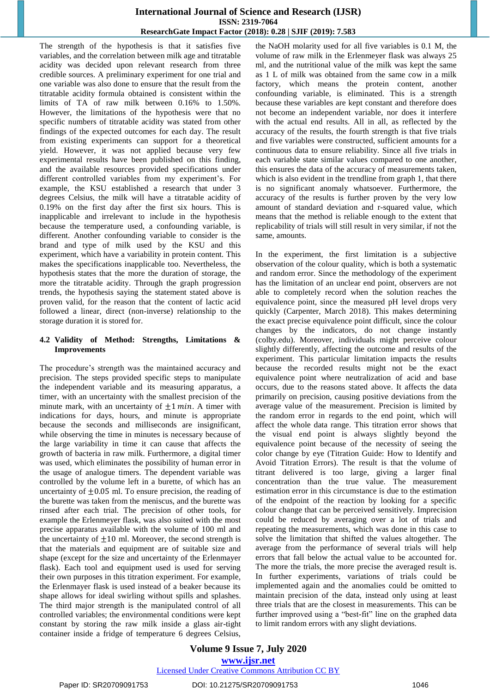The strength of the hypothesis is that it satisfies five variables, and the correlation between milk age and titratable acidity was decided upon relevant research from three credible sources. A preliminary experiment for one trial and one variable was also done to ensure that the result from the titratable acidity formula obtained is consistent within the limits of TA of raw milk between 0.16% to 1.50%. However, the limitations of the hypothesis were that no specific numbers of titratable acidity was stated from other findings of the expected outcomes for each day. The result from existing experiments can support for a theoretical yield. However, it was not applied because very few experimental results have been published on this finding, and the available resources provided specifications under different controlled variables from my experiment's. For example, the KSU established a research that under 3 degrees Celsius, the milk will have a titratable acidity of 0.19% on the first day after the first six hours. This is inapplicable and irrelevant to include in the hypothesis because the temperature used, a confounding variable, is different. Another confounding variable to consider is the brand and type of milk used by the KSU and this experiment, which have a variability in protein content. This makes the specifications inapplicable too. Nevertheless, the hypothesis states that the more the duration of storage, the more the titratable acidity. Through the graph progression trends, the hypothesis saying the statement stated above is proven valid, for the reason that the content of lactic acid followed a linear, direct (non-inverse) relationship to the storage duration it is stored for.

# **4.2 Validity of Method: Strengths, Limitations & Improvements**

The procedure's strength was the maintained accuracy and precision. The steps provided specific steps to manipulate the independent variable and its measuring apparatus, a timer, with an uncertainty with the smallest precision of the minute mark, with an uncertainty of  $\pm 1$  min. A timer with indications for days, hours, and minute is appropriate because the seconds and milliseconds are insignificant, while observing the time in minutes is necessary because of the large variability in time it can cause that affects the growth of bacteria in raw milk. Furthermore, a digital timer was used, which eliminates the possibility of human error in the usage of analogue timers. The dependent variable was controlled by the volume left in a burette, of which has an uncertainty of  $\pm 0.05$  ml. To ensure precision, the reading of the burette was taken from the meniscus, and the burette was rinsed after each trial. The precision of other tools, for example the Erlenmeyer flask, was also suited with the most precise apparatus available with the volume of 100 ml and the uncertainty of  $\pm 10$  ml. Moreover, the second strength is that the materials and equipment are of suitable size and shape (except for the size and uncertainty of the Erlenmayer flask). Each tool and equipment used is used for serving their own purposes in this titration experiment. For example, the Erlenmayer flask is used instead of a beaker because its shape allows for ideal swirling without spills and splashes. The third major strength is the manipulated control of all controlled variables; the environmental conditions were kept constant by storing the raw milk inside a glass air-tight container inside a fridge of temperature 6 degrees Celsius,

the NaOH molarity used for all five variables is 0.1 M, the volume of raw milk in the Erlenmeyer flask was always 25 ml, and the nutritional value of the milk was kept the same as 1 L of milk was obtained from the same cow in a milk factory, which means the protein content, another confounding variable, is eliminated. This is a strength because these variables are kept constant and therefore does not become an independent variable, nor does it interfere with the actual end results. All in all, as reflected by the accuracy of the results, the fourth strength is that five trials and five variables were constructed, sufficient amounts for a continuous data to ensure reliability. Since all five trials in each variable state similar values compared to one another, this ensures the data of the accuracy of measurements taken, which is also evident in the trendline from graph 1, that there is no significant anomaly whatsoever. Furthermore, the accuracy of the results is further proven by the very low amount of standard deviation and r-squared value, which means that the method is reliable enough to the extent that replicability of trials will still result in very similar, if not the same, amounts.

In the experiment, the first limitation is a subjective observation of the colour quality, which is both a systematic and random error. Since the methodology of the experiment has the limitation of an unclear end point, observers are not able to completely record when the solution reaches the equivalence point, since the measured pH level drops very quickly (Carpenter, March 2018). This makes determining the exact precise equivalence point difficult, since the colour changes by the indicators, do not change instantly (colby.edu). Moreover, individuals might perceive colour slightly differently, affecting the outcome and results of the experiment. This particular limitation impacts the results because the recorded results might not be the exact equivalence point where neutralization of acid and base occurs, due to the reasons stated above. It affects the data primarily on precision, causing positive deviations from the average value of the measurement. Precision is limited by the random error in regards to the end point, which will affect the whole data range. This titration error shows that the visual end point is always slightly beyond the equivalence point because of the necessity of seeing the color change by eye (Titration Guide: How to Identify and Avoid Titration Errors). The result is that the volume of titrant delivered is too large, giving a larger final concentration than the true value. The measurement estimation error in this circumstance is due to the estimation of the endpoint of the reaction by looking for a specific colour change that can be perceived sensitively. Imprecision could be reduced by averaging over a lot of trials and repeating the measurements, which was done in this case to solve the limitation that shifted the values altogether. The average from the performance of several trials will help errors that fall below the actual value to be accounted for. The more the trials, the more precise the averaged result is. In further experiments, variations of trials could be implemented again and the anomalies could be omitted to maintain precision of the data, instead only using at least three trials that are the closest in measurements. This can be further improved using a "best-fit" line on the graphed data to limit random errors with any slight deviations.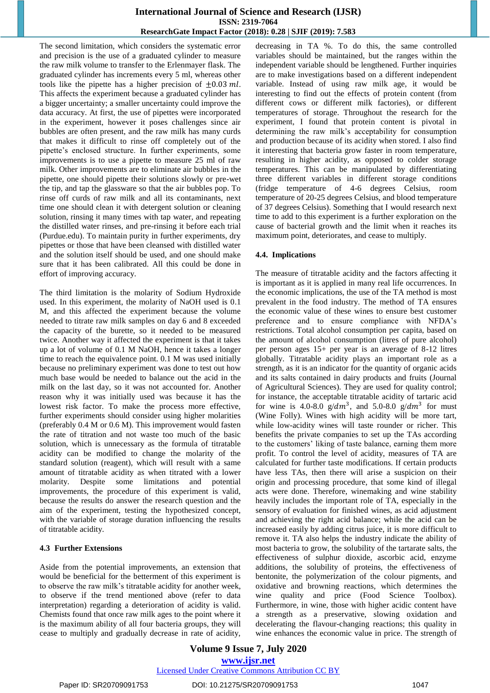The second limitation, which considers the systematic error and precision is the use of a graduated cylinder to measure the raw milk volume to transfer to the Erlenmayer flask. The graduated cylinder has increments every 5 ml, whereas other tools like the pipette has a higher precision of  $\pm 0.03$  ml. This affects the experiment because a graduated cylinder has a bigger uncertainty; a smaller uncertainty could improve the data accuracy. At first, the use of pipettes were incorporated in the experiment, however it poses challenges since air bubbles are often present, and the raw milk has many curds that makes it difficult to rinse off completely out of the pipette's enclosed structure. In further experiments, some improvements is to use a pipette to measure 25 ml of raw milk. Other improvements are to eliminate air bubbles in the pipette, one should pipette their solutions slowly or pre-wet the tip, and tap the glassware so that the air bubbles pop. To rinse off curds of raw milk and all its contaminants, next time one should clean it with detergent solution or cleaning solution, rinsing it many times with tap water, and repeating the distilled water rinses, and pre-rinsing it before each trial (Purdue.edu). To maintain purity in further experiments, dry pipettes or those that have been cleansed with distilled water and the solution itself should be used, and one should make sure that it has been calibrated. All this could be done in effort of improving accuracy.

The third limitation is the molarity of Sodium Hydroxide used. In this experiment, the molarity of NaOH used is 0.1 M, and this affected the experiment because the volume needed to titrate raw milk samples on day 6 and 8 exceeded the capacity of the burette, so it needed to be measured twice. Another way it affected the experiment is that it takes up a lot of volume of 0.1 M NaOH, hence it takes a longer time to reach the equivalence point. 0.1 M was used initially because no preliminary experiment was done to test out how much base would be needed to balance out the acid in the milk on the last day, so it was not accounted for. Another reason why it was initially used was because it has the lowest risk factor. To make the process more effective, further experiments should consider using higher molarities (preferably 0.4 M or 0.6 M). This improvement would fasten the rate of titration and not waste too much of the basic solution, which is unnecessary as the formula of titratable acidity can be modified to change the molarity of the standard solution (reagent), which will result with a same amount of titratable acidity as when titrated with a lower molarity. Despite some limitations and potential improvements, the procedure of this experiment is valid, because the results do answer the research question and the aim of the experiment, testing the hypothesized concept, with the variable of storage duration influencing the results of titratable acidity.

#### **4.3 Further Extensions**

Aside from the potential improvements, an extension that would be beneficial for the betterment of this experiment is to observe the raw milk's titratable acidity for another week, to observe if the trend mentioned above (refer to data interpretation) regarding a deterioration of acidity is valid. Chemists found that once raw milk ages to the point where it is the maximum ability of all four bacteria groups, they will cease to multiply and gradually decrease in rate of acidity, decreasing in TA %. To do this, the same controlled variables should be maintained, but the ranges within the independent variable should be lengthened. Further inquiries are to make investigations based on a different independent variable. Instead of using raw milk age, it would be interesting to find out the effects of protein content (from different cows or different milk factories), or different temperatures of storage. Throughout the research for the experiment, I found that protein content is pivotal in determining the raw milk's acceptability for consumption and production because of its acidity when stored. I also find it interesting that bacteria grow faster in room temperature, resulting in higher acidity, as opposed to colder storage temperatures. This can be manipulated by differentiating three different variables in different storage conditions (fridge temperature of 4-6 degrees Celsius, room temperature of 20-25 degrees Celsius, and blood temperature of 37 degrees Celsius). Something that I would research next time to add to this experiment is a further exploration on the cause of bacterial growth and the limit when it reaches its maximum point, deteriorates, and cease to multiply.

#### **4.4. Implications**

The measure of titratable acidity and the factors affecting it is important as it is applied in many real life occurrences. In the economic implications, the use of the TA method is most prevalent in the food industry. The method of TA ensures the economic value of these wines to ensure best customer preference and to ensure compliance with NFDA's restrictions. Total alcohol consumption per capita, based on the amount of alcohol consumption (litres of pure alcohol) per person ages 15+ per year is an average of 8-12 litres globally. Titratable acidity plays an important role as a strength, as it is an indicator for the quantity of organic acids and its salts contained in dairy products and fruits (Journal of Agricultural Sciences). They are used for quality control; for instance, the acceptable titratable acidity of tartaric acid for wine is 4.0-8.0  $g/dm^3$ , and 5.0-8.0  $g/dm^3$  for must (Wine Folly). Wines with high acidity will be more tart, while low-acidity wines will taste rounder or richer. This benefits the private companies to set up the TAs according to the customers' liking of taste balance, earning them more profit. To control the level of acidity, measures of TA are calculated for further taste modifications. If certain products have less TAs, then there will arise a suspicion on their origin and processing procedure, that some kind of illegal acts were done. Therefore, winemaking and wine stability heavily includes the important role of TA, especially in the sensory of evaluation for finished wines, as acid adjustment and achieving the right acid balance; while the acid can be increased easily by adding citrus juice, it is more difficult to remove it. TA also helps the industry indicate the ability of most bacteria to grow, the solubility of the tartarate salts, the effectiveness of sulphur dioxide, ascorbic acid, enzyme additions, the solubility of proteins, the effectiveness of bentonite, the polymerization of the colour pigments, and oxidative and browning reactions, which determines the wine quality and price (Food Science Toolbox). Furthermore, in wine, those with higher acidic content have a strength as a preservative, slowing oxidation and decelerating the flavour-changing reactions; this quality in wine enhances the economic value in price. The strength of

**Volume 9 Issue 7, July 2020 www.ijsr.net** Licensed Under Creative Commons Attribution CC BY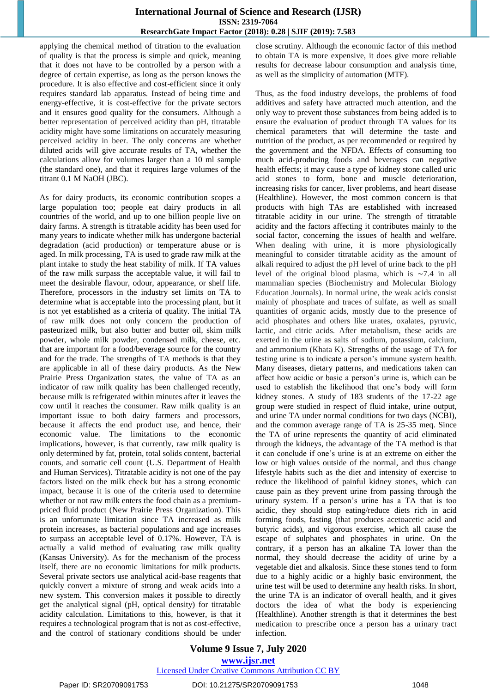applying the chemical method of titration to the evaluation of quality is that the process is simple and quick, meaning that it does not have to be controlled by a person with a degree of certain expertise, as long as the person knows the procedure. It is also effective and cost-efficient since it only requires standard lab apparatus. Instead of being time and energy-effective, it is cost-effective for the private sectors and it ensures good quality for the consumers. Although a better representation of perceived acidity than pH, titratable acidity might have some limitations on accurately measuring perceived acidity in beer. The only concerns are whether diluted acids will give accurate results of TA, whether the calculations allow for volumes larger than a 10 ml sample (the standard one), and that it requires large volumes of the titrant 0.1 M NaOH (JBC).

As for dairy products, its economic contribution scopes a large population too; people eat dairy products in all countries of the world, and up to one billion people live on dairy farms. A strength is titratable acidity has been used for many years to indicate whether milk has undergone bacterial degradation (acid production) or temperature abuse or is aged. In milk processing, TA is used to grade raw milk at the plant intake to study the heat stability of milk. If TA values of the raw milk surpass the acceptable value, it will fail to meet the desirable flavour, odour, appearance, or shelf life. Therefore, processors in the industry set limits on TA to determine what is acceptable into the processing plant, but it is not yet established as a criteria of quality. The initial TA of raw milk does not only concern the production of pasteurized milk, but also butter and butter oil, skim milk powder, whole milk powder, condensed milk, cheese, etc. that are important for a food/beverage source for the country and for the trade. The strengths of TA methods is that they are applicable in all of these dairy products. As the New Prairie Press Organization states, the value of TA as an indicator of raw milk quality has been challenged recently, because milk is refrigerated within minutes after it leaves the cow until it reaches the consumer. Raw milk quality is an important issue to both dairy farmers and processors, because it affects the end product use, and hence, their economic value. The limitations to the economic implications, however, is that currently, raw milk quality is only determined by fat, protein, total solids content, bacterial counts, and somatic cell count (U.S. Department of Health and Human Services). Titratable acidity is not one of the pay factors listed on the milk check but has a strong economic impact, because it is one of the criteria used to determine whether or not raw milk enters the food chain as a premiumpriced fluid product (New Prairie Press Organization). This is an unfortunate limitation since TA increased as milk protein increases, as bacterial populations and age increases to surpass an acceptable level of 0.17%. However, TA is actually a valid method of evaluating raw milk quality (Kansas University). As for the mechanism of the process itself, there are no economic limitations for milk products. Several private sectors use analytical acid-base reagents that quickly convert a mixture of strong and weak acids into a new system. This conversion makes it possible to directly get the analytical signal (pH, optical density) for titratable acidity calculation. Limitations to this, however, is that it requires a technological program that is not as cost-effective, and the control of stationary conditions should be under close scrutiny. Although the economic factor of this method to obtain TA is more expensive, it does give more reliable results for decrease labour consumption and analysis time, as well as the simplicity of automation (MTF).

Thus, as the food industry develops, the problems of food additives and safety have attracted much attention, and the only way to prevent those substances from being added is to ensure the evaluation of product through TA values for its chemical parameters that will determine the taste and nutrition of the product, as per recommended or required by the government and the NFDA. Effects of consuming too much acid-producing foods and beverages can negative health effects; it may cause a type of kidney stone called uric acid stones to form, bone and muscle deterioration, increasing risks for cancer, liver problems, and heart disease (Healthline). However, the most common concern is that products with high TAs are established with increased titratable acidity in our urine. The strength of titratable acidity and the factors affecting it contributes mainly to the social factor, concerning the issues of health and welfare. When dealing with urine, it is more physiologically meaningful to consider titratable acidity as the amount of alkali required to adjust the pH level of urine back to the pH level of the original blood plasma, which is ∼7.4 in all mammalian species (Biochemistry and Molecular Biology Education Journals). In normal urine, the weak acids consist mainly of phosphate and traces of sulfate, as well as small quantities of organic acids, mostly due to the presence of acid phosphates and others like urates, oxalates, pyruvic, lactic, and citric acids. After metabolism, these acids are exerted in the urine as salts of sodium, potassium, calcium, and ammonium (Khata K). Strengths of the usage of TA for testing urine is to indicate a person's immune system health. Many diseases, dietary patterns, and medications taken can affect how acidic or basic a person's urine is, which can be used to establish the likelihood that one's body will form kidney stones. A study of 183 students of the 17-22 age group were studied in respect of fluid intake, urine output, and urine TA under normal conditions for two days (NCBI), and the common average range of TA is 25-35 meq. Since the TA of urine represents the quantity of acid eliminated through the kidneys, the advantage of the TA method is that it can conclude if one's urine is at an extreme on either the low or high values outside of the normal, and thus change lifestyle habits such as the diet and intensity of exercise to reduce the likelihood of painful kidney stones, which can cause pain as they prevent urine from passing through the urinary system. If a person's urine has a TA that is too acidic, they should stop eating/reduce diets rich in acid forming foods, fasting (that produces acetoacetic acid and butyric acids), and vigorous exercise, which all cause the escape of sulphates and phosphates in urine. On the contrary, if a person has an alkaline TA lower than the normal, they should decrease the acidity of urine by a vegetable diet and alkalosis. Since these stones tend to form due to a highly acidic or a highly basic environment, the urine test will be used to determine any health risks. In short, the urine TA is an indicator of overall health, and it gives doctors the idea of what the body is experiencing (Healthline). Another strength is that it determines the best medication to prescribe once a person has a urinary tract infection.

# **Volume 9 Issue 7, July 2020 www.ijsr.net** Licensed Under Creative Commons Attribution CC BY